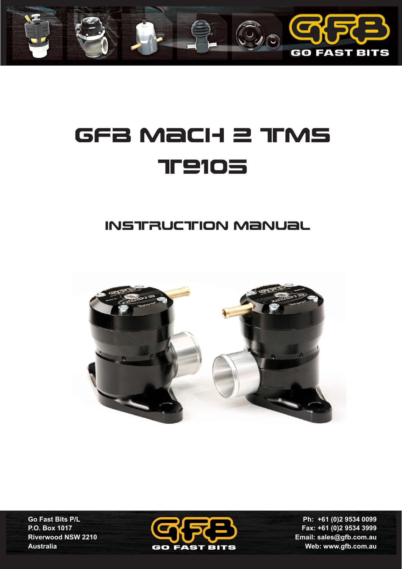

# GFB Mach 2 TMS **TP105**

## instruction manual



**Go Fast Bits P/L P.O. Box 1017 Riverwood NSW 2210 Australia**



**Ph: +61 (0)2 9534 0099 Fax: +61 (0)2 9534 3999 Email: sales@gfb.com.au Web: www.gfb.com.au**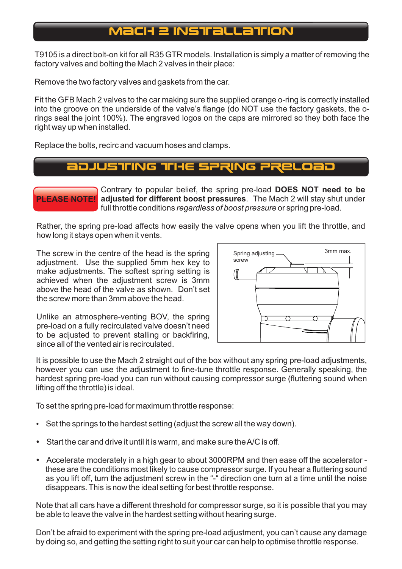## **MacH 2 INSTRALLATION**

T9105 is a direct bolt-on kit for all R35 GTR models. Installation is simply a matter of removing the factory valves and bolting the Mach 2 valves in their place:

Remove the two factory valves and gaskets from the car.

Fit the GFB Mach 2 valves to the car making sure the supplied orange o-ring is correctly installed into the groove on the underside of the valve's flange (do NOT use the factory gaskets, the orings seal the joint 100%). The engraved logos on the caps are mirrored so they both face the right way up when installed.

Replace the bolts, recirc and vacuum hoses and clamps.

#### Adjusting the sPRING PRELOAD



**PLEASE NOTE! adjusted for different boost pressures**. The Mach 2 will stay shut under Contrary to popular belief, the spring pre-load **DOES NOT need to be**  full throttle conditions *regardless of boost pressure* or spring pre-load.

Rather, the spring pre-load affects how easily the valve opens when you lift the throttle, and how long it stays open when it vents.

The screw in the centre of the head is the spring adjustment. Use the supplied 5mm hex key to make adjustments. The softest spring setting is achieved when the adjustment screw is 3mm above the head of the valve as shown. Don't set the screw more than 3mm above the head.



Unlike an atmosphere-venting BOV, the spring pre-load on a fully recirculated valve doesn't need to be adjusted to prevent stalling or backfiring, since all of the vented air is recirculated.

It is possible to use the Mach 2 straight out of the box without any spring pre-load adjustments, however you can use the adjustment to fine-tune throttle response. Generally speaking, the hardest spring pre-load you can run without causing compressor surge (fluttering sound when lifting off the throttle) is ideal.

To set the spring pre-load for maximum throttle response:

- Set the springs to the hardest setting (adjust the screw all the way down).
- Start the car and drive it until it is warm, and make sure the A/C is off.
- Accelerate moderately in a high gear to about 3000RPM and then ease off the accelerator these are the conditions most likely to cause compressor surge. If you hear a fluttering sound as you lift off, turn the adjustment screw in the "-" direction one turn at a time until the noise disappears. This is now the ideal setting for best throttle response.

Note that all cars have a different threshold for compressor surge, so it is possible that you may be able to leave the valve in the hardest setting without hearing surge.

Don't be afraid to experiment with the spring pre-load adjustment, you can't cause any damage by doing so, and getting the setting right to suit your car can help to optimise throttle response.